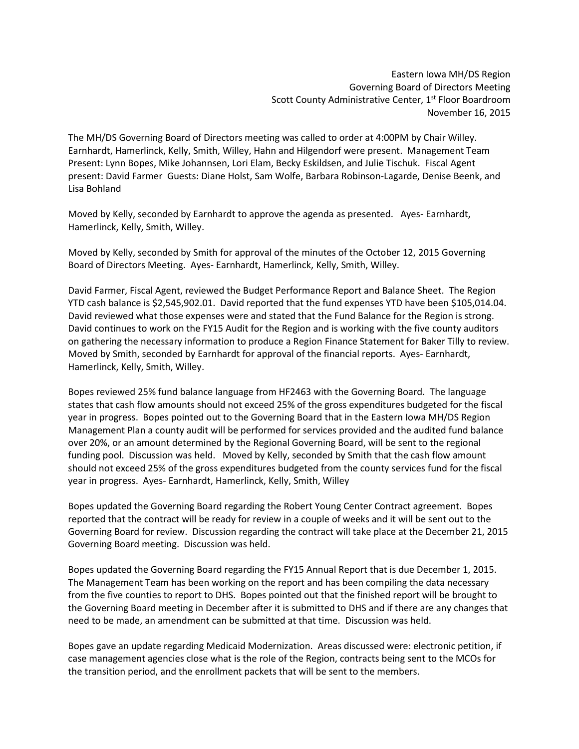Eastern Iowa MH/DS Region Governing Board of Directors Meeting Scott County Administrative Center, 1<sup>st</sup> Floor Boardroom November 16, 2015

The MH/DS Governing Board of Directors meeting was called to order at 4:00PM by Chair Willey. Earnhardt, Hamerlinck, Kelly, Smith, Willey, Hahn and Hilgendorf were present. Management Team Present: Lynn Bopes, Mike Johannsen, Lori Elam, Becky Eskildsen, and Julie Tischuk. Fiscal Agent present: David Farmer Guests: Diane Holst, Sam Wolfe, Barbara Robinson-Lagarde, Denise Beenk, and Lisa Bohland

Moved by Kelly, seconded by Earnhardt to approve the agenda as presented. Ayes- Earnhardt, Hamerlinck, Kelly, Smith, Willey.

Moved by Kelly, seconded by Smith for approval of the minutes of the October 12, 2015 Governing Board of Directors Meeting. Ayes- Earnhardt, Hamerlinck, Kelly, Smith, Willey.

David Farmer, Fiscal Agent, reviewed the Budget Performance Report and Balance Sheet. The Region YTD cash balance is \$2,545,902.01. David reported that the fund expenses YTD have been \$105,014.04. David reviewed what those expenses were and stated that the Fund Balance for the Region is strong. David continues to work on the FY15 Audit for the Region and is working with the five county auditors on gathering the necessary information to produce a Region Finance Statement for Baker Tilly to review. Moved by Smith, seconded by Earnhardt for approval of the financial reports. Ayes- Earnhardt, Hamerlinck, Kelly, Smith, Willey.

Bopes reviewed 25% fund balance language from HF2463 with the Governing Board. The language states that cash flow amounts should not exceed 25% of the gross expenditures budgeted for the fiscal year in progress. Bopes pointed out to the Governing Board that in the Eastern Iowa MH/DS Region Management Plan a county audit will be performed for services provided and the audited fund balance over 20%, or an amount determined by the Regional Governing Board, will be sent to the regional funding pool. Discussion was held. Moved by Kelly, seconded by Smith that the cash flow amount should not exceed 25% of the gross expenditures budgeted from the county services fund for the fiscal year in progress. Ayes- Earnhardt, Hamerlinck, Kelly, Smith, Willey

Bopes updated the Governing Board regarding the Robert Young Center Contract agreement. Bopes reported that the contract will be ready for review in a couple of weeks and it will be sent out to the Governing Board for review. Discussion regarding the contract will take place at the December 21, 2015 Governing Board meeting. Discussion was held.

Bopes updated the Governing Board regarding the FY15 Annual Report that is due December 1, 2015. The Management Team has been working on the report and has been compiling the data necessary from the five counties to report to DHS. Bopes pointed out that the finished report will be brought to the Governing Board meeting in December after it is submitted to DHS and if there are any changes that need to be made, an amendment can be submitted at that time. Discussion was held.

Bopes gave an update regarding Medicaid Modernization. Areas discussed were: electronic petition, if case management agencies close what is the role of the Region, contracts being sent to the MCOs for the transition period, and the enrollment packets that will be sent to the members.